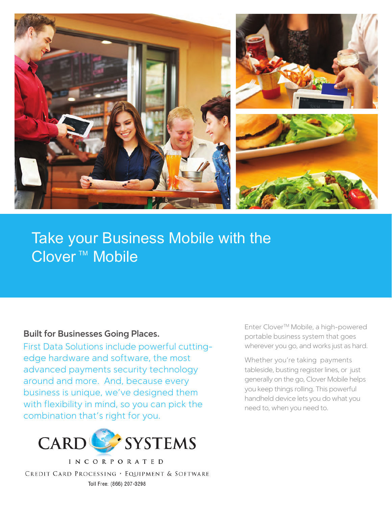

# Take Your Business M **Take your Business Mobile with the** Clover<sup>™</sup> Mobile

### **Built for Businesses Going Places.**

First Data Solutions include powerful cuttingedge hardware and software, the most advanced payments security technology around and more. And, because every business is unique, we've designed them with flexibility in mind, so you can pick the combination that's right for you.



**INCORPORATED** CREDIT CARD PROCESSING , EQUIPMENT & SOFTWARE Toll Free: (866) 207-3298

Enter CloverTM Mobile, a high-powered portable business system that goes wherever you go, and works just as hard.

Whether you're taking payments tableside, busting register lines, or just generally on the go, Clover Mobile helps you keep things rolling. This powerful handheld device lets you do what you need to, when you need to.